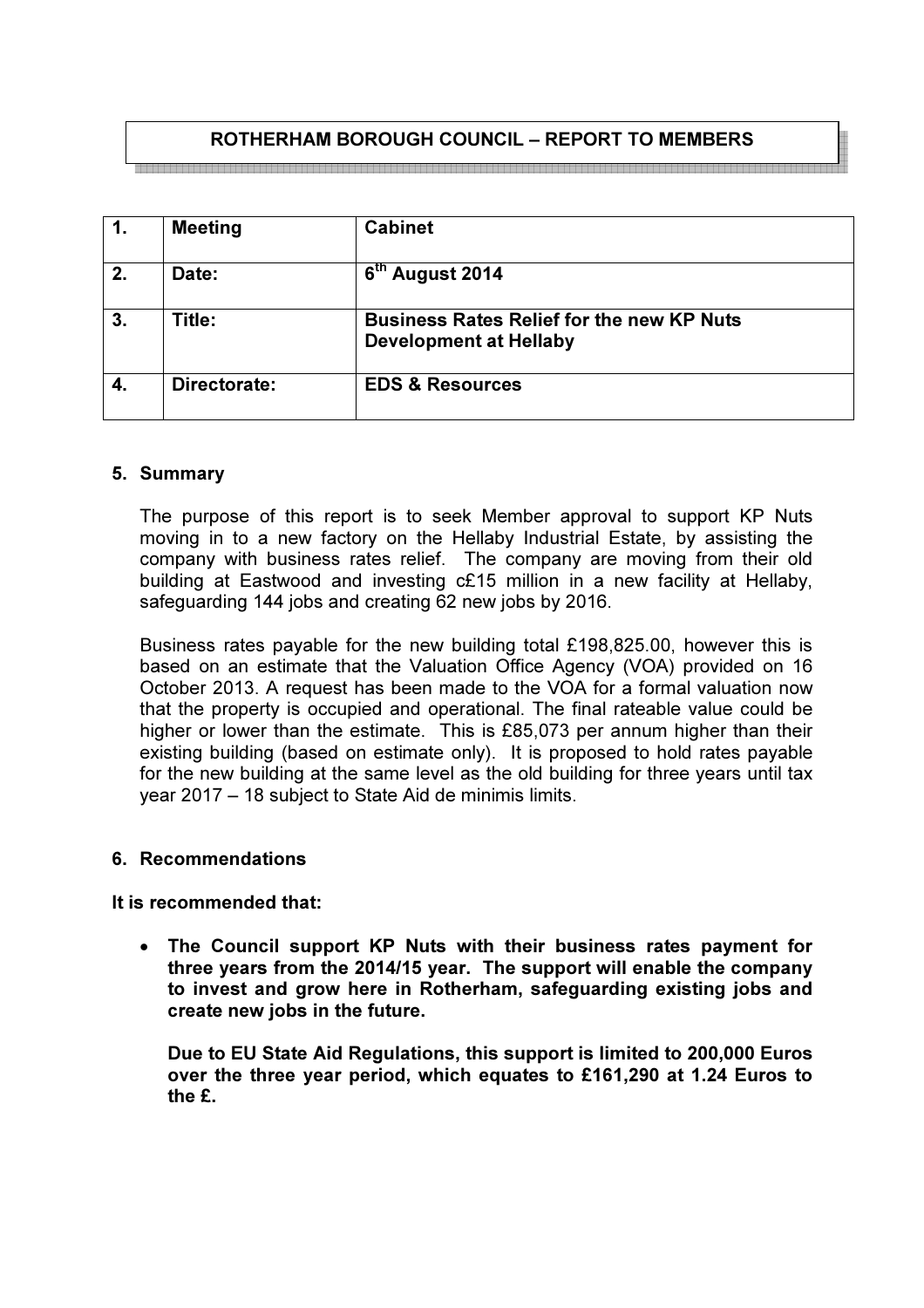# ROTHERHAM BOROUGH COUNCIL – REPORT TO MEMBERS

| 1. | <b>Meeting</b> | <b>Cabinet</b>                                                                    |
|----|----------------|-----------------------------------------------------------------------------------|
| 2. | Date:          | 6 <sup>th</sup> August 2014                                                       |
| 3. | Title:         | <b>Business Rates Relief for the new KP Nuts</b><br><b>Development at Hellaby</b> |
| 4. | Directorate:   | <b>EDS &amp; Resources</b>                                                        |

#### 5. Summary

The purpose of this report is to seek Member approval to support KP Nuts moving in to a new factory on the Hellaby Industrial Estate, by assisting the company with business rates relief. The company are moving from their old building at Eastwood and investing c£15 million in a new facility at Hellaby, safeguarding 144 jobs and creating 62 new jobs by 2016.

Business rates payable for the new building total £198,825.00, however this is based on an estimate that the Valuation Office Agency (VOA) provided on 16 October 2013. A request has been made to the VOA for a formal valuation now that the property is occupied and operational. The final rateable value could be higher or lower than the estimate. This is £85,073 per annum higher than their existing building (based on estimate only). It is proposed to hold rates payable for the new building at the same level as the old building for three years until tax year 2017 – 18 subject to State Aid de minimis limits.

#### 6. Recommendations

It is recommended that:

• The Council support KP Nuts with their business rates payment for three years from the 2014/15 year. The support will enable the company to invest and grow here in Rotherham, safeguarding existing jobs and create new jobs in the future.

Due to EU State Aid Regulations, this support is limited to 200,000 Euros over the three year period, which equates to £161,290 at 1.24 Euros to the £.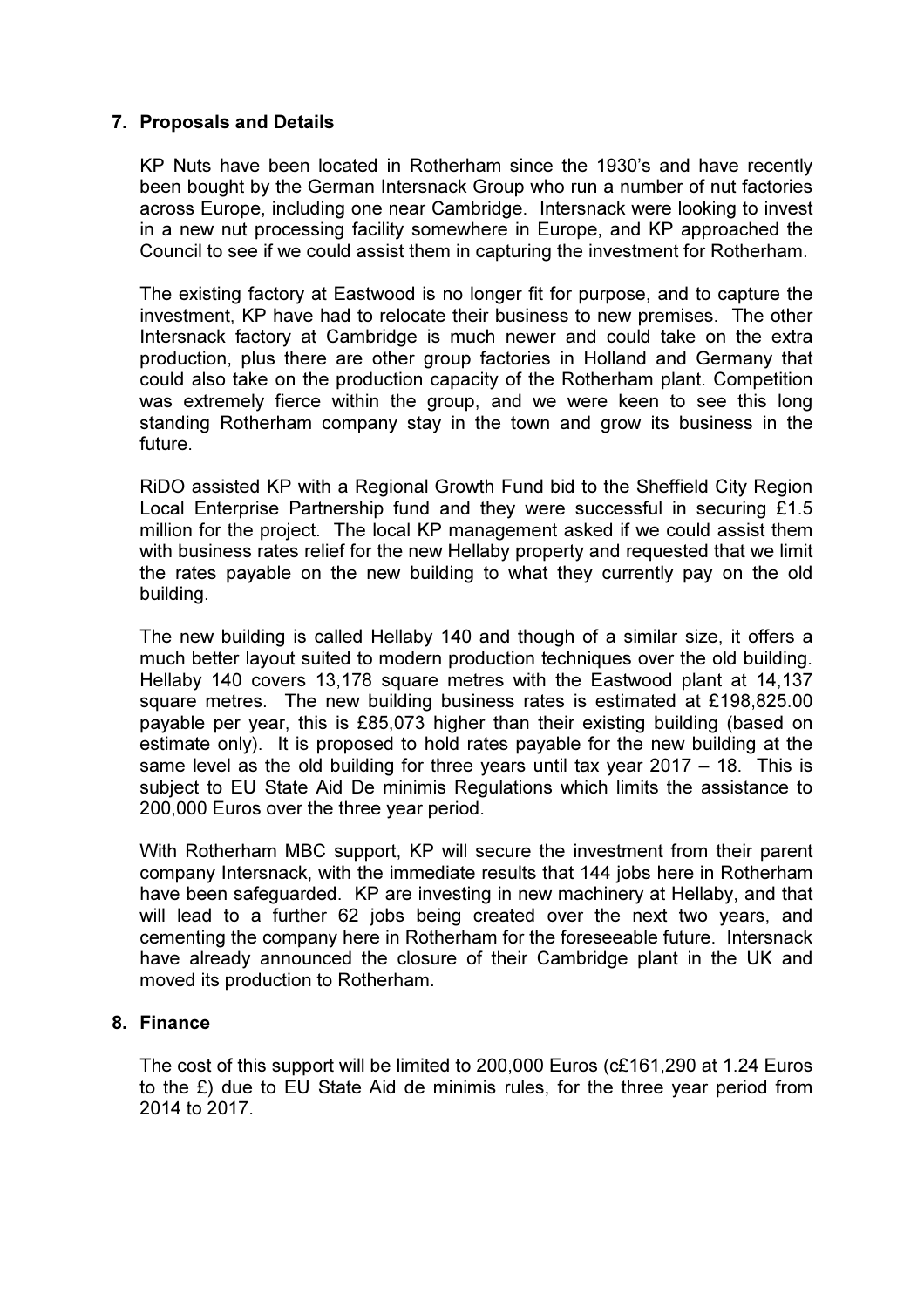## 7. Proposals and Details

KP Nuts have been located in Rotherham since the 1930's and have recently been bought by the German Intersnack Group who run a number of nut factories across Europe, including one near Cambridge. Intersnack were looking to invest in a new nut processing facility somewhere in Europe, and KP approached the Council to see if we could assist them in capturing the investment for Rotherham.

The existing factory at Eastwood is no longer fit for purpose, and to capture the investment, KP have had to relocate their business to new premises. The other Intersnack factory at Cambridge is much newer and could take on the extra production, plus there are other group factories in Holland and Germany that could also take on the production capacity of the Rotherham plant. Competition was extremely fierce within the group, and we were keen to see this long standing Rotherham company stay in the town and grow its business in the future.

RiDO assisted KP with a Regional Growth Fund bid to the Sheffield City Region Local Enterprise Partnership fund and they were successful in securing £1.5 million for the project. The local KP management asked if we could assist them with business rates relief for the new Hellaby property and requested that we limit the rates payable on the new building to what they currently pay on the old building.

The new building is called Hellaby 140 and though of a similar size, it offers a much better layout suited to modern production techniques over the old building. Hellaby 140 covers 13,178 square metres with the Eastwood plant at 14,137 square metres. The new building business rates is estimated at £198,825.00 payable per year, this is £85,073 higher than their existing building (based on estimate only). It is proposed to hold rates payable for the new building at the same level as the old building for three years until tax year 2017 – 18. This is subject to EU State Aid De minimis Regulations which limits the assistance to 200,000 Euros over the three year period.

With Rotherham MBC support, KP will secure the investment from their parent company Intersnack, with the immediate results that 144 jobs here in Rotherham have been safeguarded. KP are investing in new machinery at Hellaby, and that will lead to a further 62 jobs being created over the next two years, and cementing the company here in Rotherham for the foreseeable future. Intersnack have already announced the closure of their Cambridge plant in the UK and moved its production to Rotherham.

#### 8. Finance

The cost of this support will be limited to 200,000 Euros (c£161,290 at 1.24 Euros to the £) due to EU State Aid de minimis rules, for the three year period from 2014 to 2017.